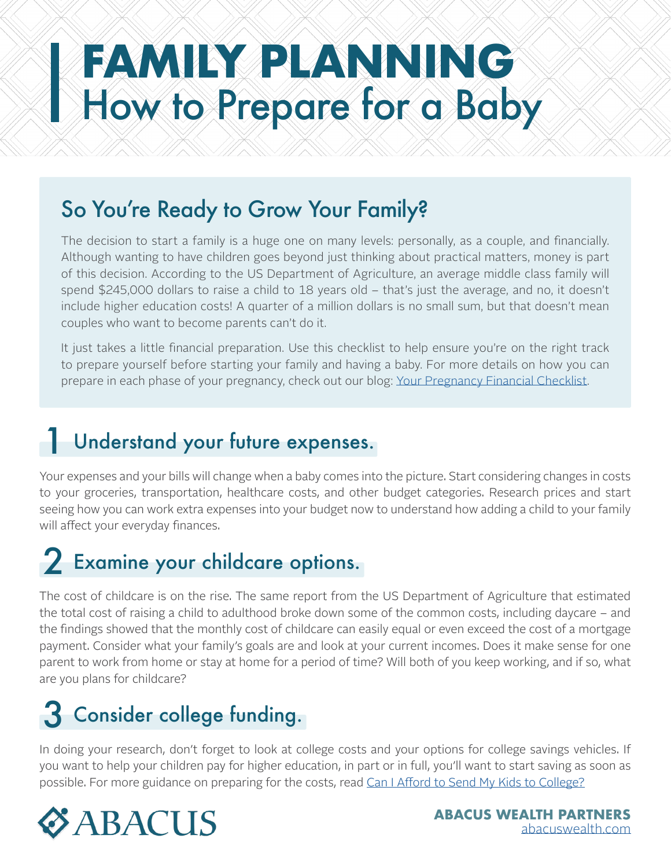# **FAMILY PLANNING** How to Prepare for a Baby

#### So You're Ready to Grow Your Family?

The decision to start a family is a huge one on many levels: personally, as a couple, and financially. Although wanting to have children goes beyond just thinking about practical matters, money is part of this decision. According to the US Department of Agriculture, an average middle class family will spend \$245,000 dollars to raise a child to 18 years old – that's just the average, and no, it doesn't include higher education costs! A quarter of a million dollars is no small sum, but that doesn't mean couples who want to become parents can't do it.

It just takes a little financial preparation. Use this checklist to help ensure you're on the right track to prepare yourself before starting your family and having a baby. For more details on how you can prepare in each phase of your pregnancy, check out our blog: [Your Pregnancy Financial Checklist.](https://abacuswealth.com/your-pregnancy-financial-checklist/)

#### Understand your future expenses. 1

Your expenses and your bills will change when a baby comes into the picture. Start considering changes in costs to your groceries, transportation, healthcare costs, and other budget categories. Research prices and start seeing how you can work extra expenses into your budget now to understand how adding a child to your family will affect your everyday finances.

### 2 Examine your childcare options.

The cost of childcare is on the rise. The same report from the US Department of Agriculture that estimated the total cost of raising a child to adulthood broke down some of the common costs, including daycare – and the findings showed that the monthly cost of childcare can easily equal or even exceed the cost of a mortgage payment. Consider what your family's goals are and look at your current incomes. Does it make sense for one parent to work from home or stay at home for a period of time? Will both of you keep working, and if so, what are you plans for childcare?

### 3 Consider college funding.

In doing your research, don't forget to look at college costs and your options for college savings vehicles. If you want to help your children pay for higher education, in part or in full, you'll want to start saving as soon as possible. For more guidance on preparing for the costs, read [Can I Afford to Send My Kids to College?](https://abacuswealth.com/can-i-afford-to-send-my-kids-to-college/)



[abacuswealth.com](http://www.abacuswealth.com)  **ABACUS WEALTH PARTNERS**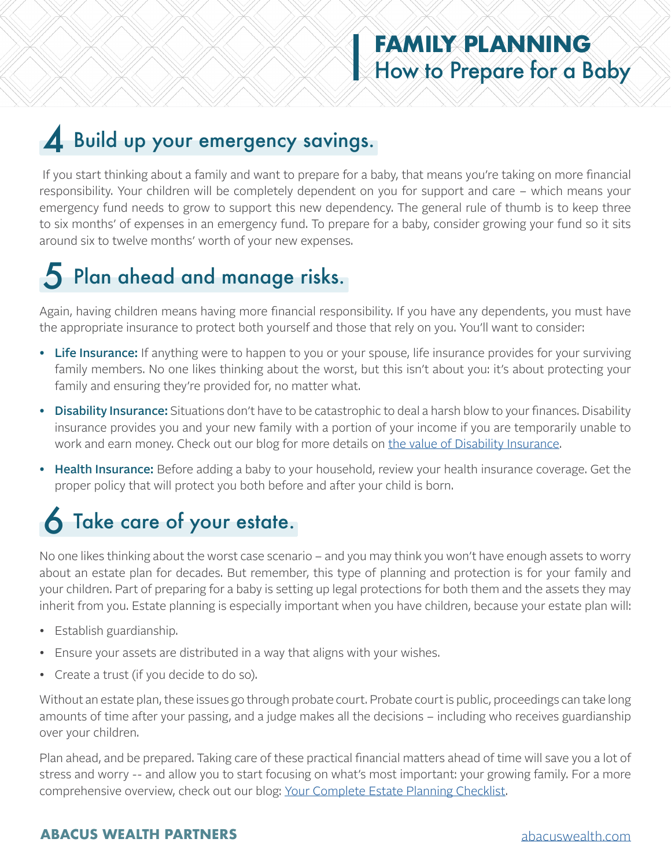## 4 Build up your emergency savings.

 If you start thinking about a family and want to prepare for a baby, that means you're taking on more financial responsibility. Your children will be completely dependent on you for support and care – which means your emergency fund needs to grow to support this new dependency. The general rule of thumb is to keep three to six months' of expenses in an emergency fund. To prepare for a baby, consider growing your fund so it sits around six to twelve months' worth of your new expenses.

### 5 Plan ahead and manage risks.

Again, having children means having more financial responsibility. If you have any dependents, you must have the appropriate insurance to protect both yourself and those that rely on you. You'll want to consider:

- Life Insurance: If anything were to happen to you or your spouse, life insurance provides for your surviving family members. No one likes thinking about the worst, but this isn't about you: it's about protecting your family and ensuring they're provided for, no matter what.
- Disability Insurance: Situations don't have to be catastrophic to deal a harsh blow to your finances. Disability insurance provides you and your new family with a portion of your income if you are temporarily unable to work and earn money. Check out our blog for more details on [the value of Disability Insurance](https://abacuswealth.com/disability-insurance-explained-what-it-is-and-why-its-valuable/).
- Health Insurance: Before adding a baby to your household, review your health insurance coverage. Get the proper policy that will protect you both before and after your child is born.

## Take care of your estate. 6

No one likes thinking about the worst case scenario – and you may think you won't have enough assets to worry about an estate plan for decades. But remember, this type of planning and protection is for your family and your children. Part of preparing for a baby is setting up legal protections for both them and the assets they may inherit from you. Estate planning is especially important when you have children, because your estate plan will:

- Establish guardianship.
- Ensure your assets are distributed in a way that aligns with your wishes.
- Create a trust (if you decide to do so).

Without an estate plan, these issues go through probate court. Probate court is public, proceedings can take long amounts of time after your passing, and a judge makes all the decisions – including who receives guardianship over your children.

Plan ahead, and be prepared. Taking care of these practical financial matters ahead of time will save you a lot of stress and worry -- and allow you to start focusing on what's most important: your growing family. For a more comprehensive overview, check out our blog: [Your Complete Estate Planning Checklist](https://abacuswealth.com/your-complete-estate-planning-checklist/).

#### **ABACUS WEALTH PARTNERS** [abacuswealth.com](http://www.abacuswealth.com)